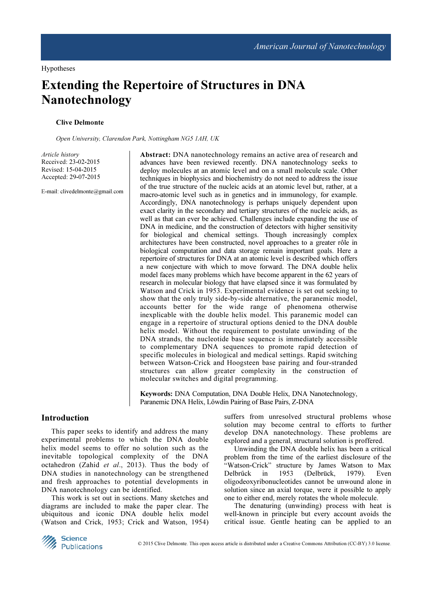Hypotheses

# Extending the Repertoire of Structures in DNA Nanotechnology

# Clive Delmonte

Open University, Clarendon Park, Nottingham NG5 1AH, UK

Article history Received: 23-02-2015 Revised: 15-04-2015 Accepted: 29-07-2015

E-mail: clivedelmonte@gmail.com

Abstract: DNA nanotechnology remains an active area of research and advances have been reviewed recently. DNA nanotechnology seeks to deploy molecules at an atomic level and on a small molecule scale. Other techniques in biophysics and biochemistry do not need to address the issue of the true structure of the nucleic acids at an atomic level but, rather, at a macro-atomic level such as in genetics and in immunology, for example. Accordingly, DNA nanotechnology is perhaps uniquely dependent upon exact clarity in the secondary and tertiary structures of the nucleic acids, as well as that can ever be achieved. Challenges include expanding the use of DNA in medicine, and the construction of detectors with higher sensitivity for biological and chemical settings. Though increasingly complex architectures have been constructed, novel approaches to a greater rôle in biological computation and data storage remain important goals. Here a repertoire of structures for DNA at an atomic level is described which offers a new conjecture with which to move forward. The DNA double helix model faces many problems which have become apparent in the 62 years of research in molecular biology that have elapsed since it was formulated by Watson and Crick in 1953. Experimental evidence is set out seeking to show that the only truly side-by-side alternative, the paranemic model, accounts better for the wide range of phenomena otherwise inexplicable with the double helix model. This paranemic model can engage in a repertoire of structural options denied to the DNA double helix model. Without the requirement to postulate unwinding of the DNA strands, the nucleotide base sequence is immediately accessible to complementary DNA sequences to promote rapid detection of specific molecules in biological and medical settings. Rapid switching between Watson-Crick and Hoogsteen base pairing and four-stranded structures can allow greater complexity in the construction of molecular switches and digital programming.

Keywords: DNA Computation, DNA Double Helix, DNA Nanotechnology, Paranemic DNA Helix, Lőwdin Pairing of Base Pairs, Z-DNA

# Introduction

This paper seeks to identify and address the many experimental problems to which the DNA double helix model seems to offer no solution such as the inevitable topological complexity of the DNA octahedron (Zahid et al., 2013). Thus the body of DNA studies in nanotechnology can be strengthened and fresh approaches to potential developments in DNA nanotechnology can be identified.

This work is set out in sections. Many sketches and diagrams are included to make the paper clear. The ubiquitous and iconic DNA double helix model (Watson and Crick, 1953; Crick and Watson, 1954) suffers from unresolved structural problems whose solution may become central to efforts to further develop DNA nanotechnology. These problems are explored and a general, structural solution is proffered.

Unwinding the DNA double helix has been a critical problem from the time of the earliest disclosure of the "Watson-Crick" structure by James Watson to Max Delbrűck in 1953 (Delbrück, 1979). Even oligodeoxyribonucleotides cannot be unwound alone in solution since an axial torque, were it possible to apply one to either end, merely rotates the whole molecule.

The denaturing (unwinding) process with heat is well-known in principle but every account avoids the critical issue. Gentle heating can be applied to an

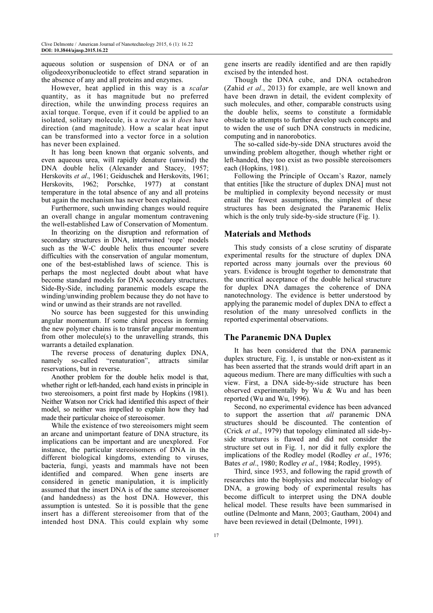aqueous solution or suspension of DNA or of an oligodeoxyribonucleotide to effect strand separation in the absence of any and all proteins and enzymes.

However, heat applied in this way is a scalar quantity, as it has magnitude but no preferred direction, while the unwinding process requires an axial torque. Torque, even if it could be applied to an isolated, solitary molecule, is a vector as it does have direction (and magnitude). How a scalar heat input can be transformed into a vector force in a solution has never been explained.

It has long been known that organic solvents, and even aqueous urea, will rapidly denature (unwind) the DNA double helix (Alexander and Stacey, 1957; Herskovits et al., 1961; Geiduschek and Herskovits, 1961; Herskovits, 1962; Porschke, 1977) at constant temperature in the total absence of any and all proteins but again the mechanism has never been explained.

Furthermore, such unwinding changes would require an overall change in angular momentum contravening the well-established Law of Conservation of Momentum.

In theorizing on the disruption and reformation of secondary structures in DNA, intertwined 'rope' models such as the W-C double helix thus encounter severe difficulties with the conservation of angular momentum, one of the best-established laws of science. This is perhaps the most neglected doubt about what have become standard models for DNA secondary structures. Side-By-Side, including paranemic models escape the winding/unwinding problem because they do not have to wind or unwind as their strands are not ravelled.

No source has been suggested for this unwinding angular momentum. If some chiral process in forming the new polymer chains is to transfer angular momentum from other molecule(s) to the unravelling strands, this warrants a detailed explanation.

The reverse process of denaturing duplex DNA, namely so-called "renaturation", attracts similar reservations, but in reverse.

Another problem for the double helix model is that, whether right or left-handed, each hand exists in principle in two stereoisomers, a point first made by Hopkins (1981). Neither Watson nor Crick had identified this aspect of their model, so neither was impelled to explain how they had made their particular choice of stereoisomer.

While the existence of two stereoisomers might seem an arcane and unimportant feature of DNA structure, its implications can be important and are unexplored. For instance, the particular stereoisomers of DNA in the different biological kingdoms, extending to viruses, bacteria, fungi, yeasts and mammals have not been identified and compared. When gene inserts are considered in genetic manipulation, it is implicitly assumed that the insert DNA is of the same stereoisomer (and handedness) as the host DNA. However, this assumption is untested. So it is possible that the gene insert has a different stereoisomer from that of the intended host DNA. This could explain why some

gene inserts are readily identified and are then rapidly excised by the intended host.

Though the DNA cube, and DNA octahedron (Zahid et al., 2013) for example, are well known and have been drawn in detail, the evident complexity of such molecules, and other, comparable constructs using the double helix, seems to constitute a formidable obstacle to attempts to further develop such concepts and to widen the use of such DNA constructs in medicine, computing and in nanorobotics.

The so-called side-by-side DNA structures avoid the unwinding problem altogether, though whether right or left-handed, they too exist as two possible stereoisomers each (Hopkins, 1981).

Following the Principle of Occam's Razor, namely that entities [like the structure of duplex DNA] must not be multiplied in complexity beyond necessity or must entail the fewest assumptions, the simplest of these structures has been designated the Paranemic Helix which is the only truly side-by-side structure (Fig. 1).

## Materials and Methods

This study consists of a close scrutiny of disparate experimental results for the structure of duplex DNA reported across many journals over the previous 60 years. Evidence is brought together to demonstrate that the uncritical acceptance of the double helical structure for duplex DNA damages the coherence of DNA nanotechnology. The evidence is better understood by applying the paranemic model of duplex DNA to effect a resolution of the many unresolved conflicts in the reported experimental observations.

## The Paranemic DNA Duplex

It has been considered that the DNA paranemic duplex structure, Fig. 1, is unstable or non-existent as it has been asserted that the strands would drift apart in an aqueous medium. There are many difficulties with such a view. First, a DNA side-by-side structure has been observed experimentally by Wu & Wu and has been reported (Wu and Wu, 1996).

Second, no experimental evidence has been advanced to support the assertion that *all* paranemic DNA structures should be discounted. The contention of (Crick et al., 1979) that topology eliminated all side-byside structures is flawed and did not consider the structure set out in Fig. 1, nor did it fully explore the implications of the Rodley model (Rodley *et al.*, 1976; Bates et al., 1980; Rodley et al., 1984; Rodley, 1995).

Third, since 1953, and following the rapid growth of researches into the biophysics and molecular biology of DNA, a growing body of experimental results has become difficult to interpret using the DNA double helical model. These results have been summarised in outline (Delmonte and Mann, 2003; Gautham, 2004) and have been reviewed in detail (Delmonte, 1991).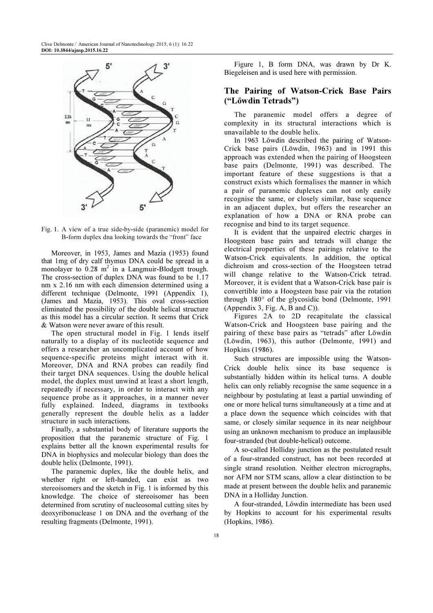

Fig. 1. A view of a true side-by-side (paranemic) model for B-form duplex dna looking towards the "front" face

Moreover, in 1953, James and Mazia (1953) found that 1mg of dry calf thymus DNA could be spread in a monolayer to  $0.28$  m<sup>2</sup> in a Langmuir-Blodgett trough. The cross-section of duplex DNA was found to be 1.17 nm x 2.16 nm with each dimension determined using a different technique (Delmonte, 1991 (Appendix 1), (James and Mazia, 1953). This oval cross-section eliminated the possibility of the double helical structure as this model has a circular section. It seems that Crick & Watson were never aware of this result.

The open structural model in Fig. 1 lends itself naturally to a display of its nucleotide sequence and offers a researcher an uncomplicated account of how sequence-specific proteins might interact with it. Moreover, DNA and RNA probes can readily find their target DNA sequences. Using the double helical model, the duplex must unwind at least a short length, repeatedly if necessary, in order to interact with any sequence probe as it approaches, in a manner never fully explained. Indeed, diagrams in textbooks generally represent the double helix as a ladder structure in such interactions.

Finally, a substantial body of literature supports the proposition that the paranemic structure of Fig. 1 explains better all the known experimental results for DNA in biophysics and molecular biology than does the double helix (Delmonte, 1991).

The paranemic duplex, like the double helix, and whether right or left-handed, can exist as two stereoisomers and the sketch in Fig. 1 is informed by this knowledge. The choice of stereoisomer has been determined from scrutiny of nucleosomal cutting sites by deoxyribonuclease 1 on DNA and the overhang of the resulting fragments (Delmonte, 1991).

Figure 1, B form DNA, was drawn by Dr K. Biegeleisen and is used here with permission.

# The Pairing of Watson-Crick Base Pairs ("Lőwdin Tetrads")

The paranemic model offers a degree of complexity in its structural interactions which is unavailable to the double helix.

In 1963 Lőwdin described the pairing of Watson-Crick base pairs (Löwdin, 1963) and in 1991 this approach was extended when the pairing of Hoogsteen base pairs (Delmonte, 1991) was described. The important feature of these suggestions is that a construct exists which formalises the manner in which a pair of paranemic duplexes can not only easily recognise the same, or closely similar, base sequence in an adjacent duplex, but offers the researcher an explanation of how a DNA or RNA probe can recognise and bind to its target sequence.

It is evident that the unpaired electric charges in Hoogsteen base pairs and tetrads will change the electrical properties of these pairings relative to the Watson-Crick equivalents. In addition, the optical dichroism and cross-section of the Hoogsteen tetrad will change relative to the Watson-Crick tetrad. Moreover, it is evident that a Watson-Crick base pair is convertible into a Hoogsteen base pair via the rotation through 180° of the glycosidic bond (Delmonte, 1991 (Appendix 3, Fig. A, B and C)).

Figures 2A to 2D recapitulate the classical Watson-Crick and Hoogsteen base pairing and the pairing of these base pairs as "tetrads" after Lőwdin (Löwdin, 1963), this author (Delmonte, 1991) and Hopkins (1986).

Such structures are impossible using the Watson-Crick double helix since its base sequence is substantially hidden within its helical turns. A double helix can only reliably recognise the same sequence in a neighbour by postulating at least a partial unwinding of one or more helical turns simultaneously at a time and at a place down the sequence which coincides with that same, or closely similar sequence in its near neighbour using an unknown mechanism to produce an implausible four-stranded (but double-helical) outcome.

A so-called Holliday junction as the postulated result of a four-stranded construct, has not been recorded at single strand resolution. Neither electron micrographs, nor AFM nor STM scans, allow a clear distinction to be made at present between the double helix and paranemic DNA in a Holliday Junction.

A four-stranded, Lőwdin intermediate has been used by Hopkins to account for his experimental results (Hopkins, 1986).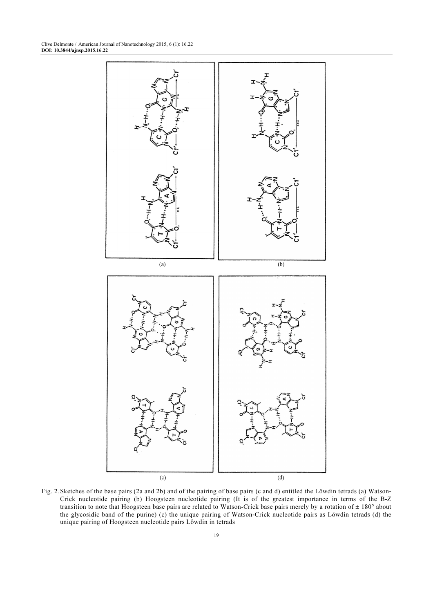

Fig. 2. Sketches of the base pairs (2a and 2b) and of the pairing of base pairs (c and d) entitled the Lőwdin tetrads (a) Watson-Crick nucleotide pairing (b) Hoogsteen nucleotide pairing (It is of the greatest importance in terms of the B-Z transition to note that Hoogsteen base pairs are related to Watson-Crick base pairs merely by a rotation of  $\pm$  180° about the glycosidic band of the purine) (c) the unique pairing of Watson-Crick nucleotide pairs as Lőwdin tetrads (d) the unique pairing of Hoogsteen nucleotide pairs Lőwdin in tetrads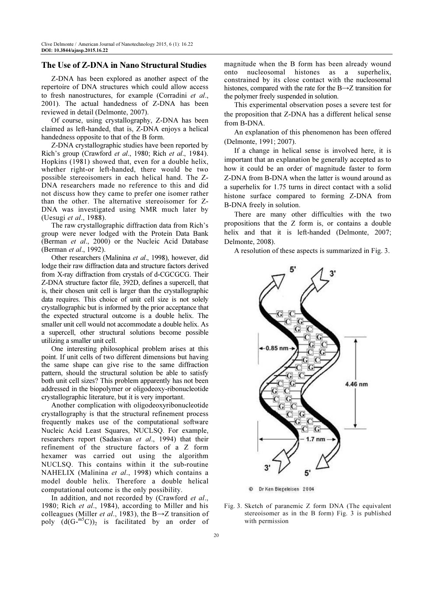## The Use of Z-DNA in Nano Structural Studies

Z-DNA has been explored as another aspect of the repertoire of DNA structures which could allow access to fresh nanostructures, for example (Corradini et al., 2001). The actual handedness of Z-DNA has been reviewed in detail (Delmonte, 2007).

Of course, using crystallography, Z-DNA has been claimed as left-handed, that is, Z-DNA enjoys a helical handedness opposite to that of the B form.

Z-DNA crystallographic studies have been reported by Rich's group (Crawford et al., 1980; Rich et al., 1984). Hopkins (1981) showed that, even for a double helix, whether right-or left-handed, there would be two possible stereoisomers in each helical hand. The Z-DNA researchers made no reference to this and did not discuss how they came to prefer one isomer rather than the other. The alternative stereoisomer for Z-DNA was investigated using NMR much later by (Uesugi et al., 1988).

The raw crystallographic diffraction data from Rich's group were never lodged with the Protein Data Bank (Berman et al., 2000) or the Nucleic Acid Database (Berman et al., 1992).

Other researchers (Malinina et al., 1998), however, did lodge their raw diffraction data and structure factors derived from X-ray diffraction from crystals of d-CGCGCG. Their Z-DNA structure factor file, 392D, defines a supercell, that is, their chosen unit cell is larger than the crystallographic data requires. This choice of unit cell size is not solely crystallographic but is informed by the prior acceptance that the expected structural outcome is a double helix. The smaller unit cell would not accommodate a double helix. As a supercell, other structural solutions become possible utilizing a smaller unit cell.

One interesting philosophical problem arises at this point. If unit cells of two different dimensions but having the same shape can give rise to the same diffraction pattern, should the structural solution be able to satisfy both unit cell sizes? This problem apparently has not been addressed in the biopolymer or oligodeoxy-ribonucleotide crystallographic literature, but it is very important.

Another complication with oligodeoxyribonucleotide crystallography is that the structural refinement process frequently makes use of the computational software Nucleic Acid Least Squares, NUCLSQ. For example, researchers report (Sadasivan et al., 1994) that their refinement of the structure factors of a Z form hexamer was carried out using the algorithm NUCLSQ. This contains within it the sub-routine NAHELIX (Malinina et al., 1998) which contains a model double helix. Therefore a double helical computational outcome is the only possibility.

In addition, and not recorded by (Crawford et al., 1980; Rich et al., 1984), according to Miller and his colleagues (Miller *et al.*, 1983), the B $\rightarrow$ Z transition of poly  $(d(G-^{m5}C))$  is facilitated by an order of magnitude when the B form has been already wound onto nucleosomal histones as a superhelix, constrained by its close contact with the nucleosomal histones, compared with the rate for the B→Z transition for the polymer freely suspended in solution.

This experimental observation poses a severe test for the proposition that Z-DNA has a different helical sense from B-DNA.

An explanation of this phenomenon has been offered (Delmonte, 1991; 2007).

If a change in helical sense is involved here, it is important that an explanation be generally accepted as to how it could be an order of magnitude faster to form Z-DNA from B-DNA when the latter is wound around as a superhelix for 1.75 turns in direct contact with a solid histone surface compared to forming Z-DNA from B-DNA freely in solution.

There are many other difficulties with the two propositions that the Z form is, or contains a double helix and that it is left-handed (Delmonte, 2007; Delmonte, 2008).

A resolution of these aspects is summarized in Fig. 3.



Dr Ken Biegeleisen 2004

Fig. 3. Sketch of paranemic Z form DNA (The equivalent stereoisomer as in the B form) Fig. 3 is published with permission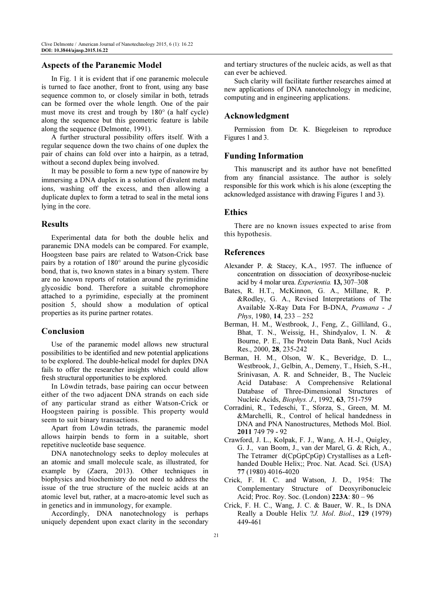#### Aspects of the Paranemic Model

In Fig. 1 it is evident that if one paranemic molecule is turned to face another, front to front, using any base sequence common to, or closely similar in both, tetrads can be formed over the whole length. One of the pair must move its crest and trough by 180° (a half cycle) along the sequence but this geometric feature is labile along the sequence (Delmonte, 1991).

A further structural possibility offers itself. With a regular sequence down the two chains of one duplex the pair of chains can fold over into a hairpin, as a tetrad, without a second duplex being involved.

It may be possible to form a new type of nanowire by immersing a DNA duplex in a solution of divalent metal ions, washing off the excess, and then allowing a duplicate duplex to form a tetrad to seal in the metal ions lying in the core.

#### Results

Experimental data for both the double helix and paranemic DNA models can be compared. For example, Hoogsteen base pairs are related to Watson-Crick base pairs by a rotation of 180° around the purine glycosidic bond, that is, two known states in a binary system. There are no known reports of rotation around the pyrimidine glycosidic bond. Therefore a suitable chromophore attached to a pyrimidine, especially at the prominent position 5, should show a modulation of optical properties as its purine partner rotates.

# Conclusion

Use of the paranemic model allows new structural possibilities to be identified and new potential applications to be explored. The double-helical model for duplex DNA fails to offer the researcher insights which could allow fresh structural opportunities to be explored.

In Löwdin tetrads, base pairing can occur between either of the two adjacent DNA strands on each side of any particular strand as either Watson-Crick or Hoogsteen pairing is possible. This property would seem to suit binary transactions.

Apart from Löwdin tetrads, the paranemic model allows hairpin bends to form in a suitable, short repetitive nucleotide base sequence.

DNA nanotechnology seeks to deploy molecules at an atomic and small molecule scale, as illustrated, for example by (Zaera, 2013). Other techniques in biophysics and biochemistry do not need to address the issue of the true structure of the nucleic acids at an atomic level but, rather, at a macro-atomic level such as in genetics and in immunology, for example.

Accordingly, DNA nanotechnology is perhaps uniquely dependent upon exact clarity in the secondary and tertiary structures of the nucleic acids, as well as that can ever be achieved.

Such clarity will facilitate further researches aimed at new applications of DNA nanotechnology in medicine, computing and in engineering applications.

#### Acknowledgment

Permission from Dr. K. Biegeleisen to reproduce Figures 1 and 3.

## Funding Information

This manuscript and its author have not benefitted from any financial assistance. The author is solely responsible for this work which is his alone (excepting the acknowledged assistance with drawing Figures 1 and 3).

#### Ethics

There are no known issues expected to arise from this hypothesis.

#### References

- Alexander P. & Stacey, K.A., 1957. The influence of concentration on dissociation of deoxyribose-nucleic acid by 4 molar urea. Experientia. 13, 307–308
- Bates, R. H.T., McKinnon, G. A., Millane, R. P. &Rodley, G. A., Revised Interpretations of The Available X-Ray Data For B-DNA, Pramana - J Phys, 1980, 14, 233 – 252
- Berman, H. M., Westbrook, J., Feng, Z., Gilliland, G., Bhat, T. N., Weissig, H., Shindyalov, I. N. & Bourne, P. E., The Protein Data Bank, Nucl Acids Res., 2000, 28, 235-242
- Berman, H. M., Olson, W. K., Beveridge, D. L., Westbrook, J., Gelbin, A., Demeny, T., Hsieh, S.-H., Srinivasan, A. R. and Schneider, B., The Nucleic Acid Database: A Comprehensive Relational Database of Three-Dimensional Structures of Nucleic Acids, Biophys. J., 1992, 63, 751-759
- Corradini, R., Tedeschi, T., Sforza, S., Green, M. M. &Marchelli, R., Control of helical handedness in DNA and PNA Nanostructures, Methods Mol. Biol. 2011 749 79 - 92
- Crawford, J. L., Kolpak, F. J., Wang, A. H.-J., Quigley, G. J., van Boom, J., van der Marel, G. & Rich, A., The Tetramer d(CpGpCpGp) Crystallises as a Lefthanded Double Helix;; Proc. Nat. Acad. Sci. (USA) 77 (1980) 4016-4020
- Crick, F. H. C. and Watson, J. D., 1954: The Complementary Structure of Deoxyribonucleic Acid; Proc. Roy. Soc. (London) 223A: 80 – 96
- Crick, F. H. C., Wang, J. C. & Bauer, W. R., Is DNA Really a Double Helix ?J. Mol. Biol., 129 (1979) 449-461